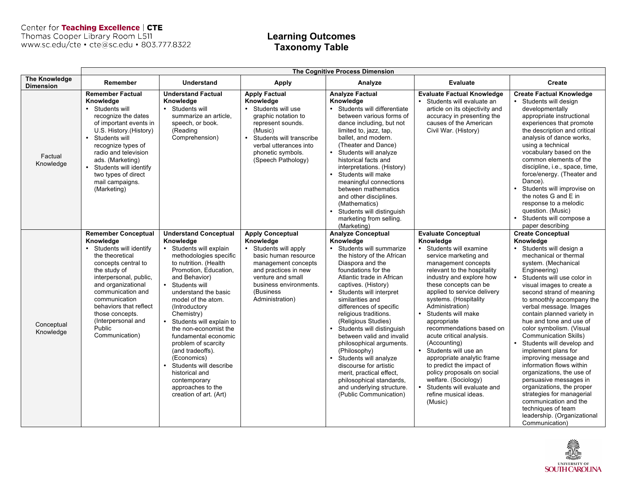Center for Teaching Excellence | CTE<br>Thomas Cooper Library Room L511<br>www.sc.edu/cte • cte@sc.edu • 803.777.8322

# **Learning Outcomes Taxonomy Table**

|                                          | The Cognitive Process Dimension                                                                                                                                                                                                                                                                                       |                                                                                                                                                                                                                                                                                                                                                                                                                                                                                                                                                         |                                                                                                                                                                                                                               |                                                                                                                                                                                                                                                                                                                                                                                                                                                                                                                                                                                                    |                                                                                                                                                                                                                                                                                                                                                                                                                                                                                                                                                                                                            |                                                                                                                                                                                                                                                                                                                                                                                                                                                                                                                                                                                                                                                                                                                                           |
|------------------------------------------|-----------------------------------------------------------------------------------------------------------------------------------------------------------------------------------------------------------------------------------------------------------------------------------------------------------------------|---------------------------------------------------------------------------------------------------------------------------------------------------------------------------------------------------------------------------------------------------------------------------------------------------------------------------------------------------------------------------------------------------------------------------------------------------------------------------------------------------------------------------------------------------------|-------------------------------------------------------------------------------------------------------------------------------------------------------------------------------------------------------------------------------|----------------------------------------------------------------------------------------------------------------------------------------------------------------------------------------------------------------------------------------------------------------------------------------------------------------------------------------------------------------------------------------------------------------------------------------------------------------------------------------------------------------------------------------------------------------------------------------------------|------------------------------------------------------------------------------------------------------------------------------------------------------------------------------------------------------------------------------------------------------------------------------------------------------------------------------------------------------------------------------------------------------------------------------------------------------------------------------------------------------------------------------------------------------------------------------------------------------------|-------------------------------------------------------------------------------------------------------------------------------------------------------------------------------------------------------------------------------------------------------------------------------------------------------------------------------------------------------------------------------------------------------------------------------------------------------------------------------------------------------------------------------------------------------------------------------------------------------------------------------------------------------------------------------------------------------------------------------------------|
| <b>The Knowledge</b><br><b>Dimension</b> | Remember                                                                                                                                                                                                                                                                                                              | <b>Understand</b>                                                                                                                                                                                                                                                                                                                                                                                                                                                                                                                                       | <b>Apply</b>                                                                                                                                                                                                                  | Analyze                                                                                                                                                                                                                                                                                                                                                                                                                                                                                                                                                                                            | <b>Evaluate</b>                                                                                                                                                                                                                                                                                                                                                                                                                                                                                                                                                                                            | Create                                                                                                                                                                                                                                                                                                                                                                                                                                                                                                                                                                                                                                                                                                                                    |
| Factual<br>Knowledge                     | <b>Remember Factual</b><br>Knowledge<br>• Students will<br>recognize the dates<br>of important events in<br>U.S. History (History)<br>Students will<br>$\bullet$<br>recognize types of<br>radio and television<br>ads. (Marketing)<br>Students will identify<br>two types of direct<br>mail campaigns.<br>(Marketing) | <b>Understand Factual</b><br>Knowledge<br>Students will<br>$\bullet$<br>summarize an article.<br>speech, or book.<br>(Reading<br>Comprehension)                                                                                                                                                                                                                                                                                                                                                                                                         | <b>Apply Factual</b><br>Knowledge<br>• Students will use<br>graphic notation to<br>represent sounds.<br>(Music)<br>Students will transcribe<br>$\bullet$<br>verbal utterances into<br>phonetic symbols.<br>(Speech Pathology) | <b>Analyze Factual</b><br>Knowledge<br>· Students will differentiate<br>between various forms of<br>dance including, but not<br>limited to, jazz, tap,<br>ballet, and modern.<br>(Theater and Dance)<br>Students will analyze<br>historical facts and<br>interpretations. (History)<br>Students will make<br>$\bullet$<br>meaningful connections<br>between mathematics<br>and other disciplines.<br>(Mathematics)<br>Students will distinguish<br>marketing from selling.<br>(Marketing)                                                                                                          | <b>Evaluate Factual Knowledge</b><br>• Students will evaluate an<br>article on its objectivity and<br>accuracy in presenting the<br>causes of the American<br>Civil War. (History)                                                                                                                                                                                                                                                                                                                                                                                                                         | <b>Create Factual Knowledge</b><br>• Students will design<br>developmentally<br>appropriate instructional<br>experiences that promote<br>the description and critical<br>analysis of dance works.<br>using a technical<br>vocabulary based on the<br>common elements of the<br>discipline, i.e., space, time,<br>force/energy. (Theater and<br>Dance).<br>Students will improvise on<br>the notes G and E in<br>response to a melodic<br>question. (Music)<br>Students will compose a<br>paper describing                                                                                                                                                                                                                                 |
| Conceptual<br>Knowledge                  | <b>Remember Conceptual</b><br>Knowledge<br>• Students will identify<br>the theoretical<br>concepts central to<br>the study of<br>interpersonal, public,<br>and organizational<br>communication and<br>communication<br>behaviors that reflect<br>those concepts.<br>(Interpersonal and<br>Public<br>Communication)    | <b>Understand Conceptual</b><br>Knowledge<br>Students will explain<br>methodologies specific<br>to nutrition. (Health<br>Promotion, Education,<br>and Behavior)<br>Students will<br>$\bullet$<br>understand the basic<br>model of the atom.<br>(Introductory)<br>Chemistry)<br>Students will explain to<br>$\bullet$<br>the non-economist the<br>fundamental economic<br>problem of scarcity<br>(and tradeoffs).<br>(Economics)<br>Students will describe<br>$\bullet$<br>historical and<br>contemporary<br>approaches to the<br>creation of art. (Art) | <b>Apply Conceptual</b><br>Knowledge<br>• Students will apply<br>basic human resource<br>management concepts<br>and practices in new<br>venture and small<br>business environments.<br>(Business<br>Administration)           | <b>Analyze Conceptual</b><br>Knowledge<br>• Students will summarize<br>the history of the African<br>Diaspora and the<br>foundations for the<br>Atlantic trade in African<br>captives. (History)<br>Students will interpret<br>similarities and<br>differences of specific<br>religious traditions.<br>(Religious Studies)<br>Students will distinguish<br>between valid and invalid<br>philosophical arguments.<br>(Philosophy)<br>Students will analyze<br>discourse for artistic<br>merit, practical effect.<br>philosophical standards,<br>and underlying structure.<br>(Public Communication) | <b>Evaluate Conceptual</b><br>Knowledge<br>• Students will examine<br>service marketing and<br>management concepts<br>relevant to the hospitality<br>industry and explore how<br>these concepts can be<br>applied to service delivery<br>systems. (Hospitality<br>Administration)<br>Students will make<br>appropriate<br>recommendations based on<br>acute critical analysis.<br>(Accounting)<br>Students will use an<br>appropriate analytic frame<br>to predict the impact of<br>policy proposals on social<br>welfare. (Sociology)<br>• Students will evaluate and<br>refine musical ideas.<br>(Music) | <b>Create Conceptual</b><br>Knowledge<br>Students will design a<br>$\bullet$<br>mechanical or thermal<br>system. (Mechanical<br>Engineering)<br>Students will use color in<br>visual images to create a<br>second strand of meaning<br>to smoothly accompany the<br>verbal message. Images<br>contain planned variety in<br>hue and tone and use of<br>color symbolism. (Visual<br><b>Communication Skills)</b><br>Students will develop and<br>implement plans for<br>improving message and<br>information flows within<br>organizations, the use of<br>persuasive messages in<br>organizations, the proper<br>strategies for managerial<br>communication and the<br>techniques of team<br>leadership. (Organizational<br>Communication) |

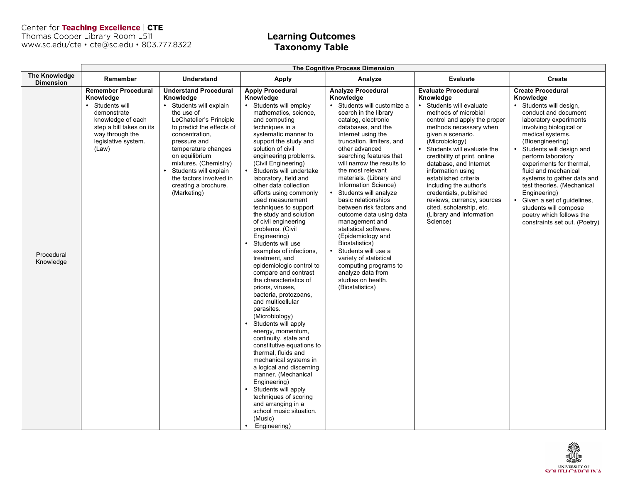Center for Teaching Excellence | CTE<br>Thomas Cooper Library Room L511<br>www.sc.edu/cte • cte@sc.edu • 803.777.8322

### **Learning Outcomes Taxonomy Table**

|                                          | <b>The Cognitive Process Dimension</b>                                                                                                                                      |                                                                                                                                                                                                                                                                                                                                                      |                                                                                                                                                                                                                                                                                                                                                                                                                                                                                                                                                                                                                                                                                                                                                                                                                                                                                                                                                                                                                                                                                                             |                                                                                                                                                                                                                                                                                                                                                                                                                                                                                                                                                                                                                                                                                  |                                                                                                                                                                                                                                                                                                                                                                                                                                                                                         |                                                                                                                                                                                                                                                                                                                                                                                                                                                                                             |
|------------------------------------------|-----------------------------------------------------------------------------------------------------------------------------------------------------------------------------|------------------------------------------------------------------------------------------------------------------------------------------------------------------------------------------------------------------------------------------------------------------------------------------------------------------------------------------------------|-------------------------------------------------------------------------------------------------------------------------------------------------------------------------------------------------------------------------------------------------------------------------------------------------------------------------------------------------------------------------------------------------------------------------------------------------------------------------------------------------------------------------------------------------------------------------------------------------------------------------------------------------------------------------------------------------------------------------------------------------------------------------------------------------------------------------------------------------------------------------------------------------------------------------------------------------------------------------------------------------------------------------------------------------------------------------------------------------------------|----------------------------------------------------------------------------------------------------------------------------------------------------------------------------------------------------------------------------------------------------------------------------------------------------------------------------------------------------------------------------------------------------------------------------------------------------------------------------------------------------------------------------------------------------------------------------------------------------------------------------------------------------------------------------------|-----------------------------------------------------------------------------------------------------------------------------------------------------------------------------------------------------------------------------------------------------------------------------------------------------------------------------------------------------------------------------------------------------------------------------------------------------------------------------------------|---------------------------------------------------------------------------------------------------------------------------------------------------------------------------------------------------------------------------------------------------------------------------------------------------------------------------------------------------------------------------------------------------------------------------------------------------------------------------------------------|
| <b>The Knowledge</b><br><b>Dimension</b> | Remember                                                                                                                                                                    | <b>Understand</b>                                                                                                                                                                                                                                                                                                                                    | <b>Apply</b>                                                                                                                                                                                                                                                                                                                                                                                                                                                                                                                                                                                                                                                                                                                                                                                                                                                                                                                                                                                                                                                                                                | Analyze                                                                                                                                                                                                                                                                                                                                                                                                                                                                                                                                                                                                                                                                          | <b>Evaluate</b>                                                                                                                                                                                                                                                                                                                                                                                                                                                                         | Create                                                                                                                                                                                                                                                                                                                                                                                                                                                                                      |
| Procedural<br>Knowledge                  | <b>Remember Procedural</b><br>Knowledge<br>Students will<br>demonstrate<br>knowledge of each<br>step a bill takes on its<br>way through the<br>legislative system.<br>(Law) | <b>Understand Procedural</b><br>Knowledge<br>Students will explain<br>$\bullet$<br>the use of<br>LeChatelier's Principle<br>to predict the effects of<br>concentration.<br>pressure and<br>temperature changes<br>on equilibrium<br>mixtures. (Chemistry)<br>Students will explain<br>the factors involved in<br>creating a brochure.<br>(Marketing) | <b>Apply Procedural</b><br>Knowledge<br>• Students will employ<br>mathematics, science,<br>and computing<br>techniques in a<br>systematic manner to<br>support the study and<br>solution of civil<br>engineering problems.<br>(Civil Engineering)<br>Students will undertake<br>laboratory, field and<br>other data collection<br>efforts using commonly<br>used measurement<br>techniques to support<br>the study and solution<br>of civil engineering<br>problems. (Civil<br>Engineering)<br>Students will use<br>examples of infections.<br>treatment, and<br>epidemiologic control to<br>compare and contrast<br>the characteristics of<br>prions, viruses,<br>bacteria, protozoans,<br>and multicellular<br>parasites.<br>(Microbiology)<br>Students will apply<br>energy, momentum,<br>continuity, state and<br>constitutive equations to<br>thermal, fluids and<br>mechanical systems in<br>a logical and discerning<br>manner. (Mechanical<br>Engineering)<br>Students will apply<br>$\bullet$<br>techniques of scoring<br>and arranging in a<br>school music situation.<br>(Music)<br>Engineering) | <b>Analyze Procedural</b><br>Knowledge<br>Students will customize a<br>search in the library<br>catalog, electronic<br>databases, and the<br>Internet using the<br>truncation, limiters, and<br>other advanced<br>searching features that<br>will narrow the results to<br>the most relevant<br>materials. (Library and<br>Information Science)<br>Students will analyze<br>basic relationships<br>between risk factors and<br>outcome data using data<br>management and<br>statistical software.<br>(Epidemiology and<br>Biostatistics)<br>Students will use a<br>variety of statistical<br>computing programs to<br>analyze data from<br>studies on health.<br>(Biostatistics) | <b>Evaluate Procedural</b><br>Knowledge<br>• Students will evaluate<br>methods of microbial<br>control and apply the proper<br>methods necessary when<br>given a scenario.<br>(Microbiology)<br>Students will evaluate the<br>credibility of print, online<br>database, and Internet<br>information using<br>established criteria<br>including the author's<br>credentials, published<br>reviews, currency, sources<br>cited, scholarship, etc.<br>(Library and Information<br>Science) | <b>Create Procedural</b><br>Knowledge<br>• Students will design,<br>conduct and document<br>laboratory experiments<br>involving biological or<br>medical systems.<br>(Bioengineering)<br>Students will design and<br>perform laboratory<br>experiments for thermal.<br>fluid and mechanical<br>systems to gather data and<br>test theories. (Mechanical<br>Engineering)<br>Given a set of guidelines,<br>students will compose<br>poetry which follows the<br>constraints set out. (Poetry) |